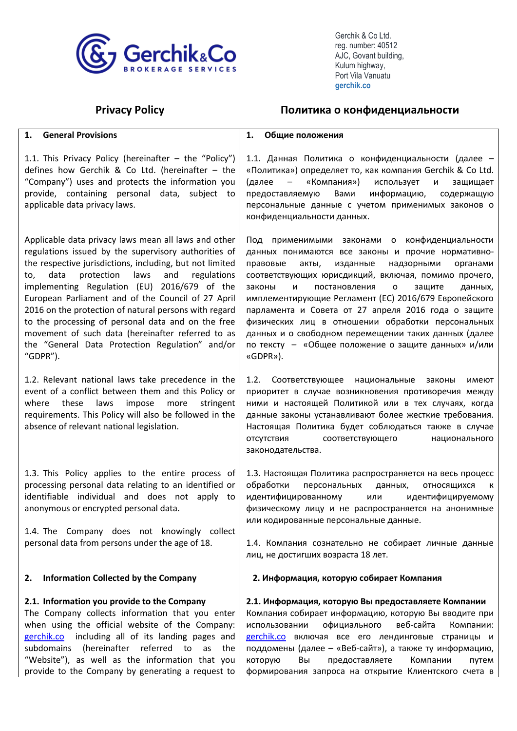

Port Vila Vanuature<br>AJC, Govant building,<br>Kulum highway,<br>Port Vila Vanuatu  **gerchik.co**

# **Privacy Policy Политика о конфиденциальности**

| <b>General Provisions</b><br>1.                                                                                                                                                                                                                                                                                                                                                                                                                                                                                                                                              | Общие положения<br>1.                                                                                                                                                                                                                                                                                                                                                                                                                                                                                                                                                                      |
|------------------------------------------------------------------------------------------------------------------------------------------------------------------------------------------------------------------------------------------------------------------------------------------------------------------------------------------------------------------------------------------------------------------------------------------------------------------------------------------------------------------------------------------------------------------------------|--------------------------------------------------------------------------------------------------------------------------------------------------------------------------------------------------------------------------------------------------------------------------------------------------------------------------------------------------------------------------------------------------------------------------------------------------------------------------------------------------------------------------------------------------------------------------------------------|
| 1.1. This Privacy Policy (hereinafter - the "Policy")<br>defines how Gerchik & Co Ltd. (hereinafter - the<br>"Company") uses and protects the information you<br>provide, containing personal data, subject to<br>applicable data privacy laws.                                                                                                                                                                                                                                                                                                                              | 1.1. Данная Политика о конфиденциальности (далее -<br>«Политика») определяет то, как компания Gerchik & Co Ltd.<br>(далее<br>«Компания»)<br>использует<br>$\frac{1}{2}$<br>защищает<br>и<br>предоставляемую<br>Вами<br>информацию,<br>содержащую<br>персональные данные с учетом применимых законов о<br>конфиденциальности данных.                                                                                                                                                                                                                                                        |
| Applicable data privacy laws mean all laws and other<br>regulations issued by the supervisory authorities of<br>the respective jurisdictions, including, but not limited<br>protection<br>data<br>laws<br>and<br>regulations<br>to,<br>implementing Regulation (EU) 2016/679 of the<br>European Parliament and of the Council of 27 April<br>2016 on the protection of natural persons with regard<br>to the processing of personal data and on the free<br>movement of such data (hereinafter referred to as<br>the "General Data Protection Regulation" and/or<br>"GDPR"). | Под применимыми законами о конфиденциальности<br>данных понимаются все законы и прочие нормативно-<br>правовые<br>изданные<br>надзорными<br>акты,<br>органами<br>соответствующих юрисдикций, включая, помимо прочего,<br>законы<br>постановления<br>защите<br>данных,<br>и<br>$\mathbf{o}$<br>имплементирующие Регламент (ЕС) 2016/679 Европейского<br>парламента и Совета от 27 апреля 2016 года о защите<br>физических лиц в отношении обработки персональных<br>данных и о свободном перемещении таких данных (далее<br>по тексту - «Общее положение о защите данных» и/или<br>«GDPR»). |
| 1.2. Relevant national laws take precedence in the<br>event of a conflict between them and this Policy or<br>these<br>laws<br>impose<br>more<br>stringent<br>where<br>requirements. This Policy will also be followed in the<br>absence of relevant national legislation.                                                                                                                                                                                                                                                                                                    | 1.2.<br>Соответствующее национальные<br>законы<br>имеют<br>приоритет в случае возникновения противоречия между<br>ними и настоящей Политикой или в тех случаях, когда<br>данные законы устанавливают более жесткие требования.<br>Настоящая Политика будет соблюдаться также в случае<br>ОТСУТСТВИЯ<br>соответствующего<br>национального<br>законодательства.                                                                                                                                                                                                                              |
| 1.3. This Policy applies to the entire process of<br>processing personal data relating to an identified or<br>identifiable individual and does not apply to<br>anonymous or encrypted personal data.<br>1.4. The Company does not knowingly collect<br>personal data from persons under the age of 18.                                                                                                                                                                                                                                                                       | 1.3. Настоящая Политика распространяется на весь процесс<br>обработки<br>персональных<br>данных,<br>ОТНОСЯЩИХСЯ<br>– K<br>идентифицированному<br>идентифицируемому<br>или<br>физическому лицу и не распространяется на анонимные<br>или кодированные персональные данные.<br>1.4. Компания сознательно не собирает личные данные<br>лиц, не достигших возраста 18 лет.                                                                                                                                                                                                                     |
| <b>Information Collected by the Company</b><br>2.                                                                                                                                                                                                                                                                                                                                                                                                                                                                                                                            | 2. Информация, которую собирает Компания                                                                                                                                                                                                                                                                                                                                                                                                                                                                                                                                                   |
| 2.1. Information you provide to the Company<br>The Company collects information that you enter<br>when using the official website of the Company:<br>gerchik.co<br>including all of its landing pages and<br>(hereinafter referred to<br>subdomains<br>the<br>as<br>"Website"), as well as the information that you<br>provide to the Company by generating a request to                                                                                                                                                                                                     | 2.1. Информация, которую Вы предоставляете Компании<br>Компания собирает информацию, которую Вы вводите при<br>официального<br>веб-сайта<br>использовании<br>Компании:<br>gerchik.co включая все его лендинговые страницы и<br>поддомены (далее - «Веб-сайт»), а также ту информацию,<br>Компании<br>которую<br>Вы<br>предоставляете<br>путем<br>формирования запроса на открытие Клиентского счета в                                                                                                                                                                                      |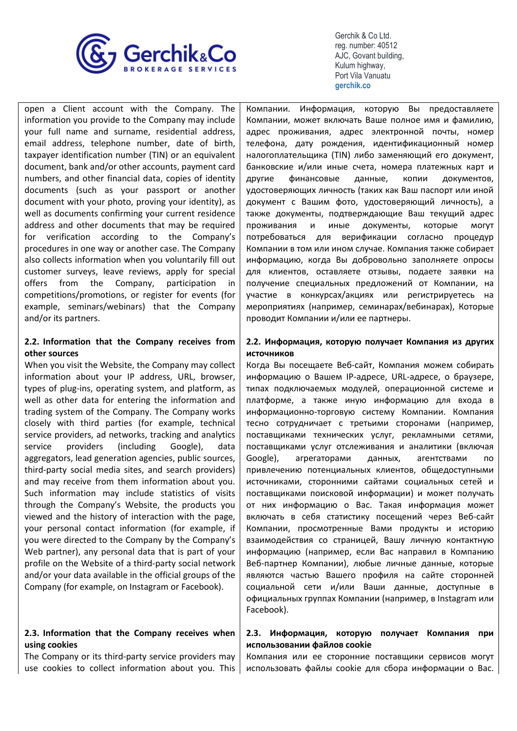

open a Client account with the Company. The information you provide to the Company may include your full name and surname, residential address, email address, telephone number, date of birth, taxpayer identification number (TIN) or an equivalent document, bank and/or other accounts, payment card numbers, and other financial data, copies of identity documents (such as your passport or another document with your photo, proving your identity), as well as documents confirming your current residence address and other documents that may be required for verification according to the Company's procedures in one way or another case. The Company also collects information when you voluntarily fill out customer surveys, leave reviews, apply for special offers from the Company, participation in competitions/promotions, or register for events (for example, seminars/webinars) that the Company and/or its partners.

# **2.2. Information that the Company receives from other sources**

When you visit the Website, the Company may collect information about your IP address, URL, browser, types of plug-ins, operating system, and platform, as well as other data for entering the information and trading system of the Company. The Company works closely with third parties (for example, technical service providers, ad networks, tracking and analytics service providers (including Google), data aggregators, lead generation agencies, public sources, third-party social media sites, and search providers) and may receive from them information about you. Such information may include statistics of visits through the Company's Website, the products you viewed and the history of interaction with the page, your personal contact information (for example, if you were directed to the Company by the Company's Web partner), any personal data that is part of your profile on the Website of a third-party social network and/or your data available in the official groups of the Company (for example, on Instagram or Facebook).

# **2.3. Information that the Company receives when using cookies**

The Company or its third-party service providers may use cookies to collect information about you. This Компании. Информация, которую Вы предоставляете Компании, может включать Ваше полное имя и фамилию, адрес проживания, адрес электронной почты, номер телефона, дату рождения, идентификационный номер налогоплательщика (TIN) либо заменяющий его документ, банковские и/или иные счета, номера платежных карт и другие финансовые данные, копии документов, удостоверяющих личность (таких как Ваш паспорт или иной документ с Вашим фото, удостоверяющий личность), а также документы, подтверждающие Ваш текущий адрес проживания и иные документы, которые могут потребоваться для верификации согласно процедур Компании в том или ином случае. Компания также собирает информацию, когда Вы добровольно заполняете опросы для клиентов, оставляете отзывы, подаете заявки на получение специальных предложений от Компании, на участие в конкурсах/акциях или регистрируетесь на мероприятиях (например, семинарах/вебинарах), Которые проводит Компании и/или ее партнеры.

# **2.2. Информация, которую получает Компания из других источников**

Когда Вы посещаете Веб-сайт, Компания можем собирать информацию о Вашем IP-адресе, URL-адресе, о браузере, типах подключаемых модулей, операционной системе и платформе, а также иную информацию для входа в информационно-торговую систему Компании. Компания тесно сотрудничает с третьими сторонами (например, поставщиками технических услуг, рекламными сетями, поставщиками услуг отслеживания и аналитики (включая Google), агрегаторами данных, агентствами по привлечению потенциальных клиентов, общедоступными источниками, сторонними сайтами социальных сетей и поставщиками поисковой информации) и может получать от них информацию о Вас. Такая информация может включать в себя статистику посещений через Веб-сайт Компании, просмотренные Вами продукты и историю взаимодействия со страницей, Вашу личную контактную информацию (например, если Вас направил в Компанию Веб-партнер Компании), любые личные данные, которые являются частью Вашего профиля на сайте сторонней социальной сети и/или Ваши данные, доступные в официальных группах Компании (например, в Instagram или Facebook).

# **2.3. Информация, которую получает Компания при использовании файлов cookie**

Компания или ее сторонние поставщики сервисов могут использовать файлы cookie для сбора информации о Вас.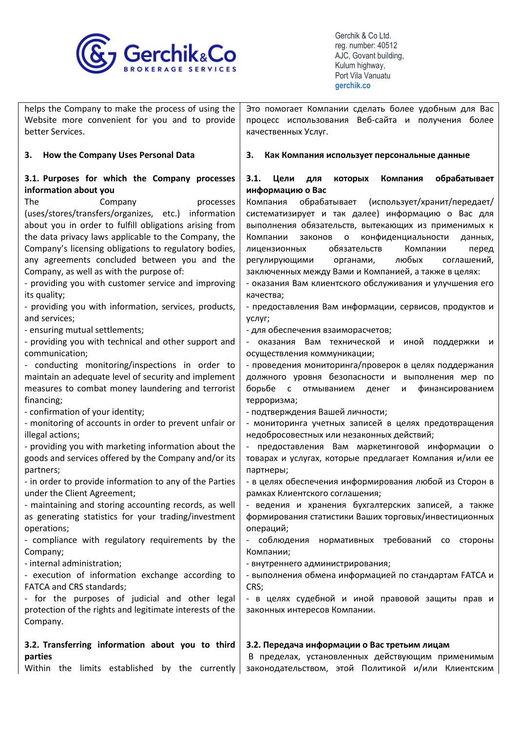

 **gerchik.co**

| helps the Company to make the process of using the       | Это помогает Компании сделать более удобным для Вас                                              |
|----------------------------------------------------------|--------------------------------------------------------------------------------------------------|
| Website more convenient for you and to provide           | процесс использования Веб-сайта и получения более                                                |
| better Services.                                         | качественных Услуг.                                                                              |
|                                                          |                                                                                                  |
| How the Company Uses Personal Data<br>3.                 | 3.<br>Как Компания использует персональные данные                                                |
| 3.1. Purposes for which the Company processes            | 3.1.<br>Цели<br>которых<br>Компания<br>обрабатывает<br>ДЛЯ                                       |
| information about you                                    | информацию о Вас                                                                                 |
| The<br>Company<br>processes                              | обрабатывает<br>(использует/хранит/передает/<br>Компания                                         |
| (uses/stores/transfers/organizes, etc.) information      | систематизирует и так далее) информацию о Вас для                                                |
| about you in order to fulfill obligations arising from   | выполнения обязательств, вытекающих из применимых к                                              |
| the data privacy laws applicable to the Company, the     | конфиденциальности<br>Компании<br>законов о<br>данных,                                           |
| Company's licensing obligations to regulatory bodies,    | обязательств<br>лицензионных<br>Компании<br>перед                                                |
| any agreements concluded between you and the             | любых<br>регулирующими<br>соглашений,<br>органами,                                               |
| Company, as well as with the purpose of:                 | заключенных между Вами и Компанией, а также в целях:                                             |
| - providing you with customer service and improving      | - оказания Вам клиентского обслуживания и улучшения его                                          |
| its quality;                                             | качества;                                                                                        |
| - providing you with information, services, products,    | - предоставления Вам информации, сервисов, продуктов и                                           |
| and services;                                            | услуг;                                                                                           |
| - ensuring mutual settlements;                           | - для обеспечения взаиморасчетов;                                                                |
| - providing you with technical and other support and     | - оказания Вам технической и иной<br>поддержки и                                                 |
| communication;                                           | осуществления коммуникации;                                                                      |
| - conducting monitoring/inspections in order to          | - проведения мониторинга/проверок в целях поддержания                                            |
| maintain an adequate level of security and implement     | должного уровня безопасности и выполнения мер по                                                 |
| measures to combat money laundering and terrorist        | борьбе<br>отмыванием денег<br>$\overline{c}$<br>финансированием<br>И                             |
| financing;                                               | терроризма;                                                                                      |
| - confirmation of your identity;                         | - подтверждения Вашей личности;                                                                  |
| - monitoring of accounts in order to prevent unfair or   | - мониторинга учетных записей в целях предотвращения                                             |
| illegal actions;                                         | недобросовестных или незаконных действий;                                                        |
| - providing you with marketing information about the     | предоставления Вам маркетинговой информации о                                                    |
| goods and services offered by the Company and/or its     | товарах и услугах, которые предлагает Компания и/или ее                                          |
| partners;                                                | партнеры;                                                                                        |
| - in order to provide information to any of the Parties  | - в целях обеспечения информирования любой из Сторон в                                           |
| under the Client Agreement;                              | рамках Клиентского соглашения;                                                                   |
| - maintaining and storing accounting records, as well    | ведения и хранения бухгалтерских записей, а также                                                |
| as generating statistics for your trading/investment     | формирования статистики Ваших торговых/инвестиционных                                            |
| operations;                                              | операций;                                                                                        |
| - compliance with regulatory requirements by the         | - соблюдения<br>нормативных требований со стороны                                                |
| Company;                                                 | Компании;                                                                                        |
| - internal administration;                               | - внутреннего администрирования;                                                                 |
| - execution of information exchange according to         | - выполнения обмена информацией по стандартам FATCA и                                            |
| FATCA and CRS standards;                                 | CRS;                                                                                             |
| - for the purposes of judicial and other legal           | - в целях судебной и иной правовой защиты прав и                                                 |
| protection of the rights and legitimate interests of the | законных интересов Компании.                                                                     |
| Company.                                                 |                                                                                                  |
|                                                          |                                                                                                  |
| 3.2. Transferring information about you to third         | 3.2. Передача информации о Вас третьим лицам<br>В пределах, установленных действующим применимым |
| parties                                                  |                                                                                                  |

Within the limits established by the currently законодательством, этой Политикой и/или Клиентским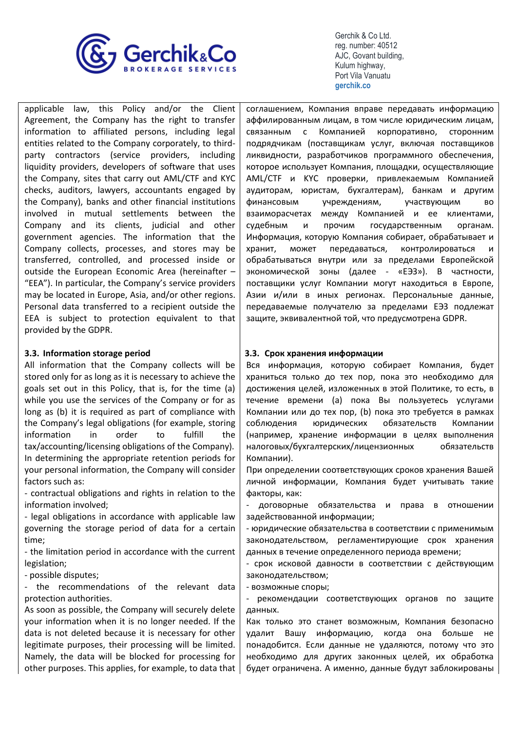

applicable law, this Policy and/or the Client Agreement, the Company has the right to transfer information to affiliated persons, including legal entities related to the Company corporately, to thirdparty contractors (service providers, including liquidity providers, developers of software that uses the Company, sites that carry out AML/CTF and KYC checks, auditors, lawyers, accountants engaged by the Company), banks and other financial institutions involved in mutual settlements between the Company and its clients, judicial and other government agencies. The information that the Company collects, processes, and stores may be transferred, controlled, and processed inside or outside the European Economic Area (hereinafter – "EEA"). In particular, the Company's service providers may be located in Europe, Asia, and/or other regions. Personal data transferred to a recipient outside the EEA is subject to protection equivalent to that provided by the GDPR.

# **3.3. Information storage period**

All information that the Company collects will be stored only for as long as it is necessary to achieve the goals set out in this Policy, that is, for the time (a) while you use the services of the Company or for as long as (b) it is required as part of compliance with the Company's legal obligations (for example, storing information in order to fulfill the tax/accounting/licensing obligations of the Company). In determining the appropriate retention periods for your personal information, the Company will consider factors such as:

- contractual obligations and rights in relation to the information involved;

- legal obligations in accordance with applicable law governing the storage period of data for a certain time;

- the limitation period in accordance with the current legislation;

- possible disputes;

- the recommendations of the relevant data protection authorities.

As soon as possible, the Company will securely delete your information when it is no longer needed. If the data is not deleted because it is necessary for other legitimate purposes, their processing will be limited. Namely, the data will be blocked for processing for other purposes. This applies, for example, to data that соглашением, Компания вправе передавать информацию аффилированным лицам, в том числе юридическим лицам, связанным с Компанией корпоративно, сторонним подрядчикам (поставщикам услуг, включая поставщиков ликвидности, разработчиков программного обеспечения, которое использует Компания, площадки, осуществляющие AML/CTF и KYC проверки, привлекаемым Компанией аудиторам, юристам, бухгалтерам), банкам и другим финансовым учреждениям, участвующим во взаиморасчетах между Компанией и ее клиентами, судебным и прочим государственным органам. Информация, которую Компания собирает, обрабатывает и хранит, может передаваться, контролироваться и обрабатываться внутри или за пределами Европейской экономической зоны (далее - «ЕЭЗ»). В частности, поставщики услуг Компании могут находиться в Европе, Азии и/или в иных регионах. Персональные данные, передаваемые получателю за пределами ЕЭЗ подлежат защите, эквивалентной той, что предусмотрена GDPR.

# **3.3. Срок хранения информации**

Вся информация, которую собирает Компания, будет храниться только до тех пор, пока это необходимо для достижения целей, изложенных в этой Политике, то есть, в течение времени (а) пока Вы пользуетесь услугами Компании или до тех пор, (b) пока это требуется в рамках соблюдения юридических обязательств Компании (например, хранение информации в целях выполнения налоговых/бухгалтерских/лицензионных обязательств Компании).

При определении соответствующих сроков хранения Вашей личной информации, Компания будет учитывать такие факторы, как:

- договорные обязательства и права в отношении задействованной информации;

- юридические обязательства в соответствии с применимым законодательством, регламентирующие срок хранения данных в течение определенного периода времени;

- срок исковой давности в соответствии с действующим законодательством;

- возможные споры;

- рекомендации соответствующих органов по защите данных.

Как только это станет возможным, Компания безопасно удалит Вашу информацию, когда она больше не понадобится. Если данные не удаляются, потому что это необходимо для других законных целей, их обработка будет ограничена. А именно, данные будут заблокированы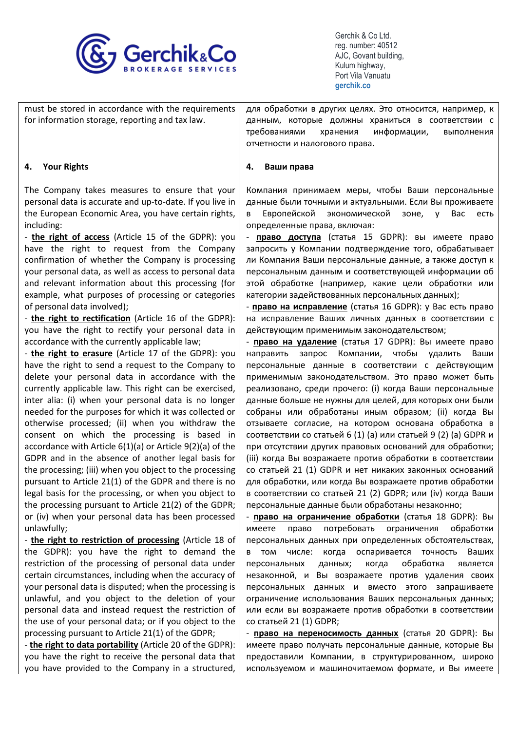

| for information storage, reporting and tax law. | must be stored in accordance with the requirements   для обработки в других целях. Это относится, например, к<br>данным, которые должны храниться в соответствии с |
|-------------------------------------------------|--------------------------------------------------------------------------------------------------------------------------------------------------------------------|
|                                                 | хранения информации,<br>требованиями<br>выполнения<br>отчетности и налогового права.                                                                               |
|                                                 |                                                                                                                                                                    |

#### **4. Ваши права**

Компания принимаем меры, чтобы Ваши персональные данные были точными и актуальными. Если Вы проживаете в Европейской экономической зоне, у Вас есть определенные права, включая:

- **право доступа** (статья 15 GDPR): вы имеете право запросить у Компании подтверждение того, обрабатывает ли Компания Ваши персональные данные, а также доступ к персональным данным и соответствующей информации об этой обработке (например, какие цели обработки или категории задействованных персональных данных);

- **право на исправление** (статья 16 GDPR): у Вас есть право на исправление Ваших личных данных в соответствии с действующим применимым законодательством;

- **право на удаление** (статья 17 GDPR): Вы имеете право направить запрос Компании, чтобы удалить Ваши персональные данные в соответствии с действующим применимым законодательством. Это право может быть реализовано, среди прочего: (i) когда Ваши персональные данные больше не нужны для целей, для которых они были собраны или обработаны иным образом; (ii) когда Вы отзываете согласие, на котором основана обработка в соответствии со статьей 6 (1) (a) или статьей 9 (2) (a) GDPR и при отсутствии других правовых оснований для обработки; (iii) когда Вы возражаете против обработки в соответствии со статьей 21 (1) GDPR и нет никаких законных оснований для обработки, или когда Вы возражаете против обработки в соответствии со статьей 21 (2) GDPR; или (iv) когда Ваши персональные данные были обработаны незаконно;

- **право на ограничение обработки** (статья 18 GDPR): Вы имеете право потребовать ограничения обработки персональных данных при определенных обстоятельствах, в том числе: когда оспаривается точность Ваших персональных данных; когда обработка является незаконной, и Вы возражаете против удаления своих персональных данных и вместо этого запрашиваете ограничение использования Ваших персональных данных; или если вы возражаете против обработки в соответствии со статьей 21 (1) GDPR;

- **право на переносимость данных** (статья 20 GDPR): Вы имеете право получать персональные данные, которые Вы предоставили Компании, в структурированном, широко используемом и машиночитаемом формате, и Вы имеете

# **4. Your Rights**

The Company takes measures to ensure that your personal data is accurate and up-to-date. If you live in the European Economic Area, you have certain rights, including:

- **the right of access** (Article 15 of the GDPR): you have the right to request from the Company confirmation of whether the Company is processing your personal data, as well as access to personal data and relevant information about this processing (for example, what purposes of processing or categories of personal data involved);

- **the right to rectification** (Article 16 of the GDPR): you have the right to rectify your personal data in accordance with the currently applicable law;

- **the right to erasure** (Article 17 of the GDPR): you have the right to send a request to the Company to delete your personal data in accordance with the currently applicable law. This right can be exercised, inter alia: (i) when your personal data is no longer needed for the purposes for which it was collected or otherwise processed; (ii) when you withdraw the consent on which the processing is based in accordance with Article 6(1)(a) or Article 9(2)(a) of the GDPR and in the absence of another legal basis for the processing; (iii) when you object to the processing pursuant to Article 21(1) of the GDPR and there is no legal basis for the processing, or when you object to the processing pursuant to Article 21(2) of the GDPR; or (iv) when your personal data has been processed unlawfully;

- **the right to restriction of processing** (Article 18 of the GDPR): you have the right to demand the restriction of the processing of personal data under certain circumstances, including when the accuracy of your personal data is disputed; when the processing is unlawful, and you object to the deletion of your personal data and instead request the restriction of the use of your personal data; or if you object to the processing pursuant to Article 21(1) of the GDPR;

- **the right to data portability** (Article 20 of the GDPR): you have the right to receive the personal data that you have provided to the Company in a structured,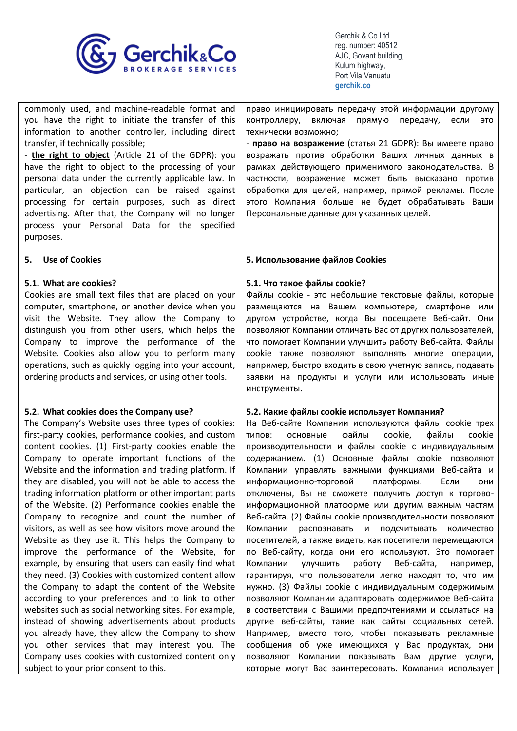

commonly used, and machine-readable format and you have the right to initiate the transfer of this information to another controller, including direct transfer, if technically possible;

- **the right to object** (Article 21 of the GDPR): you have the right to object to the processing of your personal data under the currently applicable law. In particular, an objection can be raised against processing for certain purposes, such as direct advertising. After that, the Company will no longer process your Personal Data for the specified purposes.

# **5. Use of Cookies**

# **5.1. What are cookies?**

Cookies are small text files that are placed on your computer, smartphone, or another device when you visit the Website. They allow the Company to distinguish you from other users, which helps the Company to improve the performance of the Website. Cookies also allow you to perform many operations, such as quickly logging into your account, ordering products and services, or using other tools.

# **5.2. What cookies does the Company use?**

The Company's Website uses three types of cookies: first-party cookies, performance cookies, and custom content cookies. (1) First-party cookies enable the Company to operate important functions of the Website and the information and trading platform. If they are disabled, you will not be able to access the trading information platform or other important parts of the Website. (2) Performance cookies enable the Company to recognize and count the number of visitors, as well as see how visitors move around the Website as they use it. This helps the Company to improve the performance of the Website, for example, by ensuring that users can easily find what they need. (3) Cookies with customized content allow the Company to adapt the content of the Website according to your preferences and to link to other websites such as social networking sites. For example, instead of showing advertisements about products you already have, they allow the Company to show you other services that may interest you. The Company uses cookies with customized content only subject to your prior consent to this.

право инициировать передачу этой информации другому контроллеру, включая прямую передачу, если это технически возможно;

- **право на возражение** (статья 21 GDPR): Вы имеете право возражать против обработки Ваших личных данных в рамках действующего применимого законодательства. В частности, возражение может быть высказано против обработки для целей, например, прямой рекламы. После этого Компания больше не будет обрабатывать Ваши Персональные данные для указанных целей.

# **5. Использование файлов Cookies**

#### **5.1. Что такое файлы cookie?**

Файлы cookie - это небольшие текстовые файлы, которые размещаются на Вашем компьютере, смартфоне или другом устройстве, когда Вы посещаете Веб-сайт. Они позволяют Компании отличать Вас от других пользователей, что помогает Компании улучшить работу Веб-сайта. Файлы cookie также позволяют выполнять многие операции, например, быстро входить в свою учетную запись, подавать заявки на продукты и услуги или использовать иные инструменты.

# **5.2. Какие файлы cookie использует Компания?**

На Веб-сайте Компании используются файлы cookie трех типов: основные файлы cookie, файлы cookie производительности и файлы cookie с индивидуальным содержанием. (1) Основные файлы cookie позволяют Компании управлять важными функциями Веб-сайта и информационно-торговой платформы. Если они отключены, Вы не сможете получить доступ к торговоинформационной платформе или другим важным частям Веб-сайта. (2) Файлы cookie производительности позволяют Компании распознавать и подсчитывать количество посетителей, а также видеть, как посетители перемещаются по Веб-сайту, когда они его используют. Это помогает Компании улучшить работу Веб-сайта, например, гарантируя, что пользователи легко находят то, что им нужно. (3) Файлы cookie с индивидуальным содержимым позволяют Компании адаптировать содержимое Веб-сайта в соответствии с Вашими предпочтениями и ссылаться на другие веб-сайты, такие как сайты социальных сетей. Например, вместо того, чтобы показывать рекламные сообщения об уже имеющихся у Вас продуктах, они позволяют Компании показывать Вам другие услуги, которые могут Вас заинтересовать. Компания использует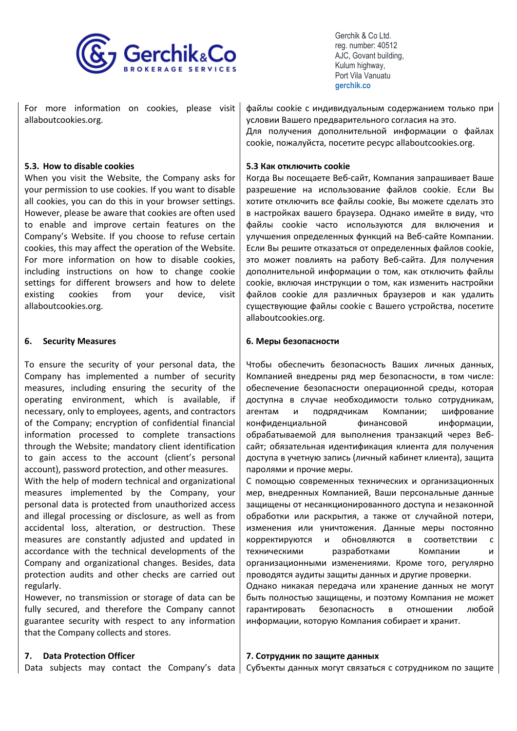

For more information on cookies, please visit allaboutcookies.org.

# **5.3. How to disable cookies**

When you visit the Website, the Company asks for your permission to use cookies. If you want to disable all cookies, you can do this in your browser settings. However, please be aware that cookies are often used to enable and improve certain features on the Company's Website. If you choose to refuse certain cookies, this may affect the operation of the Website. For more information on how to disable cookies, including instructions on how to change cookie settings for different browsers and how to delete existing cookies from your device, visit allaboutcookies.org.

# **6. Security Measures**

To ensure the security of your personal data, the Company has implemented a number of security measures, including ensuring the security of the operating environment, which is available, if necessary, only to employees, agents, and contractors of the Company; encryption of confidential financial information processed to complete transactions through the Website; mandatory client identification to gain access to the account (client's personal account), password protection, and other measures.

With the help of modern technical and organizational measures implemented by the Company, your personal data is protected from unauthorized access and illegal processing or disclosure, as well as from accidental loss, alteration, or destruction. These measures are constantly adjusted and updated in accordance with the technical developments of the Company and organizational changes. Besides, data protection audits and other checks are carried out regularly.

However, no transmission or storage of data can be fully secured, and therefore the Company cannot guarantee security with respect to any information that the Company collects and stores.

#### **7. Data Protection Officer**

Data subjects may contact the Company's data

файлы cookie с индивидуальным содержанием только при условии Вашего предварительного согласия на это. Для получения дополнительной информации о файлах cookie, пожалуйста, посетите ресурс allaboutcookies.org.

# **5.3 Как отключить cookie**

Когда Вы посещаете Веб-сайт, Компания запрашивает Ваше разрешение на использование файлов cookie. Если Вы хотите отключить все файлы cookie, Вы можете сделать это в настройках вашего браузера. Однако имейте в виду, что файлы cookie часто используются для включения и улучшения определенных функций на Веб-сайте Компании. Если Вы решите отказаться от определенных файлов cookie, это может повлиять на работу Веб-сайта. Для получения дополнительной информации о том, как отключить файлы cookie, включая инструкции о том, как изменить настройки файлов cookie для различных браузеров и как удалить существующие файлы cookie с Вашего устройства, посетите allaboutcookies.org.

#### **6. Меры безопасности**

Чтобы обеспечить безопасность Ваших личных данных, Компанией внедрены ряд мер безопасности, в том числе: обеспечение безопасности операционной среды, которая доступна в случае необходимости только сотрудникам, агентам и подрядчикам Компании; шифрование конфиденциальной финансовой информации, обрабатываемой для выполнения транзакций через Вебсайт; обязательная идентификация клиента для получения доступа в учетную запись (личный кабинет клиента), защита паролями и прочие меры.

С помощью современных технических и организационных мер, внедренных Компанией, Ваши персональные данные защищены от несанкционированного доступа и незаконной обработки или раскрытия, а также от случайной потери, изменения или уничтожения. Данные меры постоянно корректируются и обновляются в соответствии с техническими разработками Компании и организационными изменениями. Кроме того, регулярно проводятся аудиты защиты данных и другие проверки.

Однако никакая передача или хранение данных не могут быть полностью защищены, и поэтому Компания не может гарантировать безопасность в отношении любой информации, которую Компания собирает и хранит.

#### **7. Сотрудник по защите данных**

Субъекты данных могут связаться с сотрудником по защите